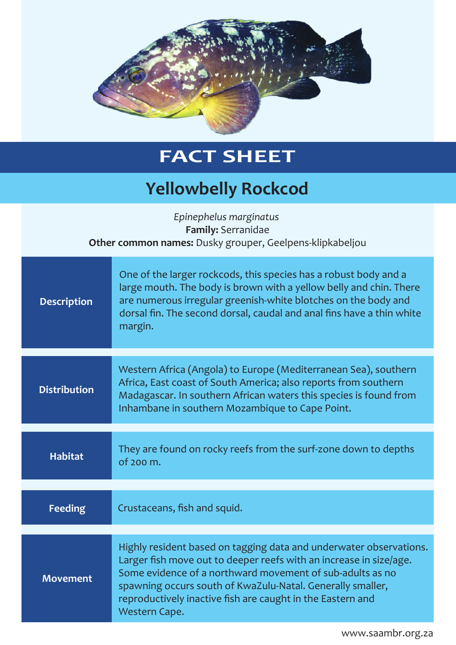

## **FACT SHEET**

## **Yellowbelly Rockcod**

| Epinephelus marginatus<br>Family: Serranidae<br>Other common names: Dusky grouper, Geelpens-klipkabeljou |                                                                                                                                                                                                                                                                                                                                                    |
|----------------------------------------------------------------------------------------------------------|----------------------------------------------------------------------------------------------------------------------------------------------------------------------------------------------------------------------------------------------------------------------------------------------------------------------------------------------------|
| <b>Description</b>                                                                                       | One of the larger rockcods, this species has a robust body and a<br>large mouth. The body is brown with a yellow belly and chin. There<br>are numerous irregular greenish-white blotches on the body and<br>dorsal fin. The second dorsal, caudal and anal fins have a thin white<br>margin.                                                       |
| <b>Distribution</b>                                                                                      | Western Africa (Angola) to Europe (Mediterranean Sea), southern<br>Africa, East coast of South America; also reports from southern<br>Madagascar. In southern African waters this species is found from<br>Inhambane in southern Mozambique to Cape Point.                                                                                         |
| <b>Habitat</b>                                                                                           | They are found on rocky reefs from the surf-zone down to depths<br>of 200 m.                                                                                                                                                                                                                                                                       |
| <b>Feeding</b>                                                                                           | Crustaceans, fish and squid.                                                                                                                                                                                                                                                                                                                       |
| <b>Movement</b>                                                                                          | Highly resident based on tagging data and underwater observations.<br>Larger fish move out to deeper reefs with an increase in size/age.<br>Some evidence of a northward movement of sub-adults as no<br>spawning occurs south of KwaZulu-Natal. Generally smaller,<br>reproductively inactive fish are caught in the Eastern and<br>Western Cape. |